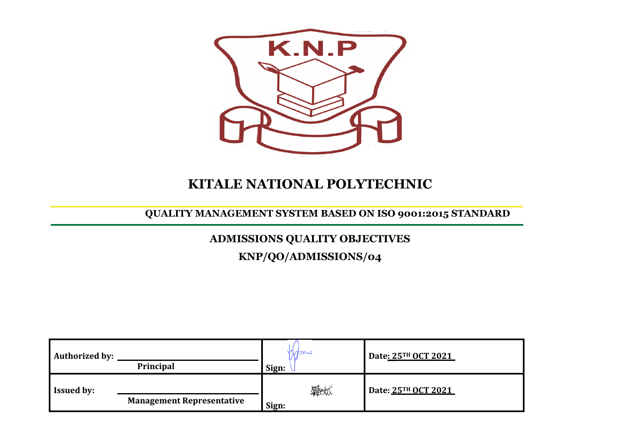

## **KITALE NATIONAL POLYTECHNIC**

### **QUALITY MANAGEMENT SYSTEM BASED ON ISO 9001:2015 STANDARD**

# **ADMISSIONS QUALITY OBJECTIVES**

**KNP/QO/ADMISSIONS/04**

| <b>Authorized by:</b> | Principal                        | Kindri<br>Sign:    | Date: 25TH OCT 2021 |
|-----------------------|----------------------------------|--------------------|---------------------|
| <b>Issued by:</b>     | <b>Management Representative</b> | <b>無地</b><br>Sign: | Date: 25TH OCT 2021 |